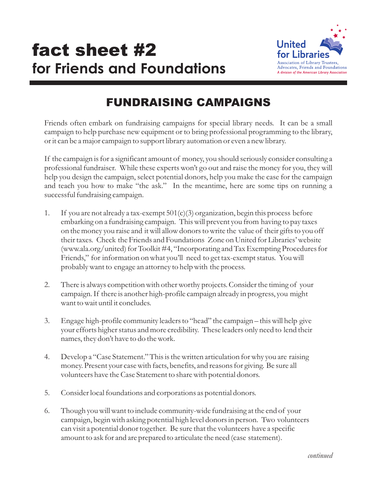

## FUNDRAISING CAMPAIGNS

Friends often embark on fundraising campaigns for special library needs. It can be a small campaign to help purchase new equipment or to bring professional programming to the library, or it can be a major campaign to support library automation or even a new library.

If the campaign is for a significant amount of money, you should seriously consider consulting a professional fundraiser. While these experts won't go out and raise the money for you, they will help you design the campaign, select potential donors, help you make the case for the campaign and teach you how to make "the ask." In the meantime, here are some tips on running a successful fundraising campaign.

- 1. If you are not already a tax-exempt  $501(c)(3)$  organization, begin this process before embarking on a fundraising campaign. This will prevent you from having to pay taxes on the money you raise and it will allow donors to write the value of their gifts to you off their taxes. Check the Friends and Foundations Zone on United for Libraries' website (www.ala.org/united) for Toolkit #4, "Incorporating and Tax Exempting Procedures for Friends," for information on what you'll need to get tax-exempt status. You will probably want to engage an attorney to help with the process.
- 2. There is always competition with other worthy projects. Consider the timing of your campaign. If there is another high-profile campaign already in progress, you might want to wait until it concludes.
- 3. Engage high-profile community leaders to "head" the campaign this will help give your efforts higher status and more credibility. These leaders only need to lend their names, they don't have to do the work.
- 4. Develop a "Case Statement." This is the written articulation for why you are raising money. Present your case with facts, benefits, and reasons for giving. Be sure all volunteers have the Case Statement to share with potential donors.
- 5. Consider local foundations and corporations as potential donors.
- 6. Though you will want to include community-wide fundraising at the end of your campaign, begin with asking potential high level donors in person. Two volunteers can visit a potential donor together. Be sure that the volunteers have a specific amount to ask for and are prepared to articulate the need (case statement).